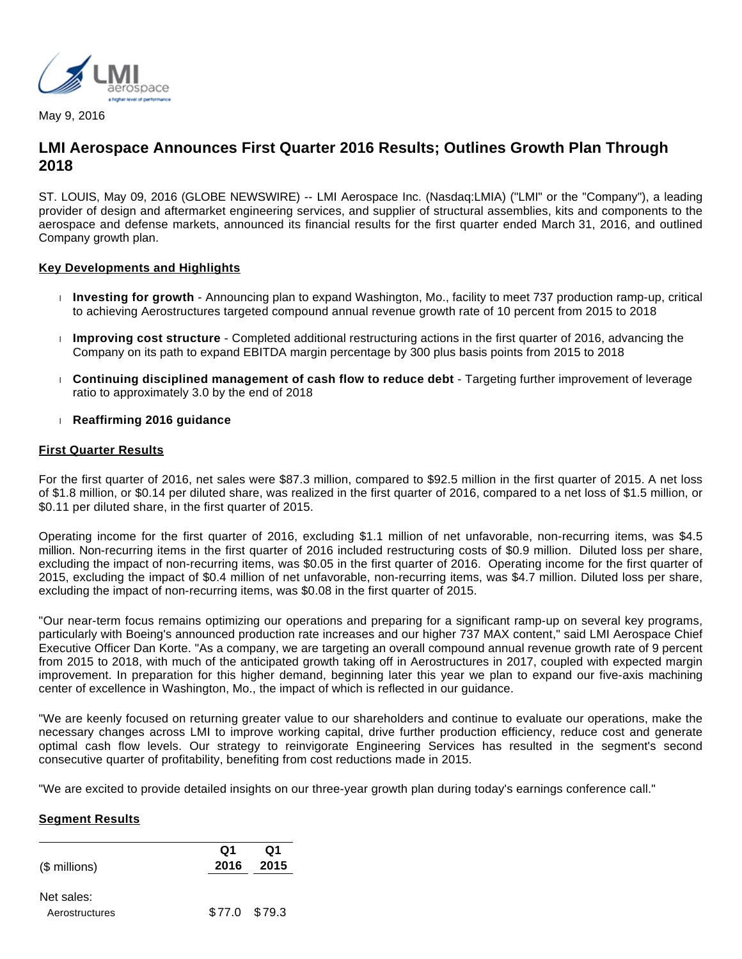

May 9, 2016

# **LMI Aerospace Announces First Quarter 2016 Results; Outlines Growth Plan Through 2018**

ST. LOUIS, May 09, 2016 (GLOBE NEWSWIRE) -- LMI Aerospace Inc. (Nasdaq:LMIA) ("LMI" or the "Company"), a leading provider of design and aftermarket engineering services, and supplier of structural assemblies, kits and components to the aerospace and defense markets, announced its financial results for the first quarter ended March 31, 2016, and outlined Company growth plan.

#### **Key Developments and Highlights**

- **Investing for growth** Announcing plan to expand Washington, Mo., facility to meet 737 production ramp-up, critical to achieving Aerostructures targeted compound annual revenue growth rate of 10 percent from 2015 to 2018
- **Improving cost structure** Completed additional restructuring actions in the first quarter of 2016, advancing the Company on its path to expand EBITDA margin percentage by 300 plus basis points from 2015 to 2018
- **Continuing disciplined management of cash flow to reduce debt** Targeting further improvement of leverage ratio to approximately 3.0 by the end of 2018
- **Reaffirming 2016 guidance**

#### **First Quarter Results**

For the first quarter of 2016, net sales were \$87.3 million, compared to \$92.5 million in the first quarter of 2015. A net loss of \$1.8 million, or \$0.14 per diluted share, was realized in the first quarter of 2016, compared to a net loss of \$1.5 million, or \$0.11 per diluted share, in the first quarter of 2015.

Operating income for the first quarter of 2016, excluding \$1.1 million of net unfavorable, non-recurring items, was \$4.5 million. Non-recurring items in the first quarter of 2016 included restructuring costs of \$0.9 million. Diluted loss per share, excluding the impact of non-recurring items, was \$0.05 in the first quarter of 2016. Operating income for the first quarter of 2015, excluding the impact of \$0.4 million of net unfavorable, non-recurring items, was \$4.7 million. Diluted loss per share, excluding the impact of non-recurring items, was \$0.08 in the first quarter of 2015.

"Our near-term focus remains optimizing our operations and preparing for a significant ramp-up on several key programs, particularly with Boeing's announced production rate increases and our higher 737 MAX content," said LMI Aerospace Chief Executive Officer Dan Korte. "As a company, we are targeting an overall compound annual revenue growth rate of 9 percent from 2015 to 2018, with much of the anticipated growth taking off in Aerostructures in 2017, coupled with expected margin improvement. In preparation for this higher demand, beginning later this year we plan to expand our five-axis machining center of excellence in Washington, Mo., the impact of which is reflected in our guidance.

"We are keenly focused on returning greater value to our shareholders and continue to evaluate our operations, make the necessary changes across LMI to improve working capital, drive further production efficiency, reduce cost and generate optimal cash flow levels. Our strategy to reinvigorate Engineering Services has resulted in the segment's second consecutive quarter of profitability, benefiting from cost reductions made in 2015.

"We are excited to provide detailed insights on our three-year growth plan during today's earnings conference call."

## **Segment Results**

| $($$ millions) | Q1<br>2016    | Q1<br>2015 |
|----------------|---------------|------------|
| Net sales:     |               |            |
| Aerostructures | \$77.0 \$79.3 |            |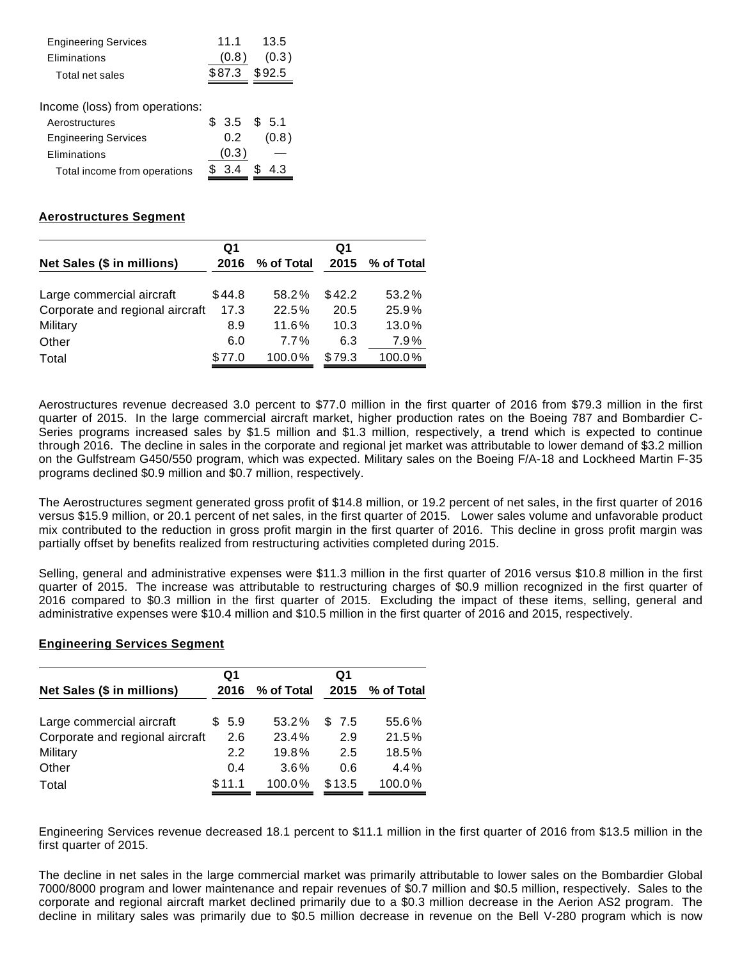| <b>Engineering Services</b>    | 11 1          | 13.5   |
|--------------------------------|---------------|--------|
| Eliminations                   | (0.8)         | (0.3)  |
| Total net sales                | \$87.3        | \$92.5 |
|                                |               |        |
| Income (loss) from operations: |               |        |
| Aerostructures                 | \$ 3.5 \$ 5.1 |        |
| <b>Engineering Services</b>    | 0.2           | (0.8)  |
| Eliminations                   | (0.3)         |        |
| Total income from operations   | 3.4           | 43     |

#### **Aerostructures Segment**

|                                 | Q1     |            | Q1     |            |
|---------------------------------|--------|------------|--------|------------|
| Net Sales (\$ in millions)      | 2016   | % of Total | 2015   | % of Total |
|                                 |        |            |        |            |
| Large commercial aircraft       | \$44.8 | 58.2%      | \$42.2 | 53.2%      |
| Corporate and regional aircraft | 17.3   | 22.5%      | 20.5   | 25.9%      |
| Military                        | 8.9    | 11.6%      | 10.3   | 13.0%      |
| Other                           | 6.0    | $7.7\%$    | 6.3    | 7.9%       |
| Total                           | \$77.0 | 100.0%     | \$79.3 | 100.0%     |

Aerostructures revenue decreased 3.0 percent to \$77.0 million in the first quarter of 2016 from \$79.3 million in the first quarter of 2015. In the large commercial aircraft market, higher production rates on the Boeing 787 and Bombardier C-Series programs increased sales by \$1.5 million and \$1.3 million, respectively, a trend which is expected to continue through 2016. The decline in sales in the corporate and regional jet market was attributable to lower demand of \$3.2 million on the Gulfstream G450/550 program, which was expected. Military sales on the Boeing F/A-18 and Lockheed Martin F-35 programs declined \$0.9 million and \$0.7 million, respectively.

The Aerostructures segment generated gross profit of \$14.8 million, or 19.2 percent of net sales, in the first quarter of 2016 versus \$15.9 million, or 20.1 percent of net sales, in the first quarter of 2015. Lower sales volume and unfavorable product mix contributed to the reduction in gross profit margin in the first quarter of 2016. This decline in gross profit margin was partially offset by benefits realized from restructuring activities completed during 2015.

Selling, general and administrative expenses were \$11.3 million in the first quarter of 2016 versus \$10.8 million in the first quarter of 2015. The increase was attributable to restructuring charges of \$0.9 million recognized in the first quarter of 2016 compared to \$0.3 million in the first quarter of 2015. Excluding the impact of these items, selling, general and administrative expenses were \$10.4 million and \$10.5 million in the first quarter of 2016 and 2015, respectively.

# **Engineering Services Segment**

|                                 | Q1     |            | Q1     |                 |
|---------------------------------|--------|------------|--------|-----------------|
| Net Sales (\$ in millions)      | 2016   | % of Total |        | 2015 % of Total |
| Large commercial aircraft       | \$5.9  | 53.2%      | \$7.5  | 55.6%           |
| Corporate and regional aircraft | 2.6    | 23.4%      | 2.9    | 21.5%           |
| Military                        | 2.2    | 19.8%      | 2.5    | 18.5%           |
| Other                           | 0.4    | $3.6\%$    | 0.6    | 4.4%            |
| Total                           | \$11.1 | 100.0%     | \$13.5 | 100.0%          |

Engineering Services revenue decreased 18.1 percent to \$11.1 million in the first quarter of 2016 from \$13.5 million in the first quarter of 2015.

The decline in net sales in the large commercial market was primarily attributable to lower sales on the Bombardier Global 7000/8000 program and lower maintenance and repair revenues of \$0.7 million and \$0.5 million, respectively. Sales to the corporate and regional aircraft market declined primarily due to a \$0.3 million decrease in the Aerion AS2 program. The decline in military sales was primarily due to \$0.5 million decrease in revenue on the Bell V-280 program which is now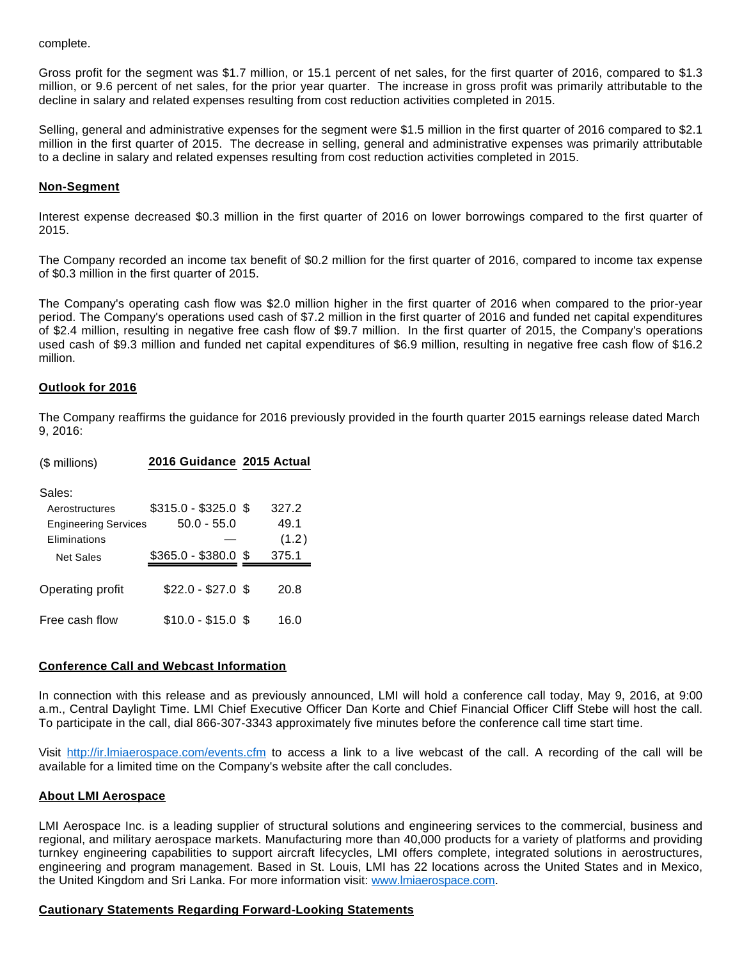complete.

Gross profit for the segment was \$1.7 million, or 15.1 percent of net sales, for the first quarter of 2016, compared to \$1.3 million, or 9.6 percent of net sales, for the prior year quarter. The increase in gross profit was primarily attributable to the decline in salary and related expenses resulting from cost reduction activities completed in 2015.

Selling, general and administrative expenses for the segment were \$1.5 million in the first quarter of 2016 compared to \$2.1 million in the first quarter of 2015. The decrease in selling, general and administrative expenses was primarily attributable to a decline in salary and related expenses resulting from cost reduction activities completed in 2015.

## **Non-Segment**

Interest expense decreased \$0.3 million in the first quarter of 2016 on lower borrowings compared to the first quarter of 2015.

The Company recorded an income tax benefit of \$0.2 million for the first quarter of 2016, compared to income tax expense of \$0.3 million in the first quarter of 2015.

The Company's operating cash flow was \$2.0 million higher in the first quarter of 2016 when compared to the prior-year period. The Company's operations used cash of \$7.2 million in the first quarter of 2016 and funded net capital expenditures of \$2.4 million, resulting in negative free cash flow of \$9.7 million. In the first quarter of 2015, the Company's operations used cash of \$9.3 million and funded net capital expenditures of \$6.9 million, resulting in negative free cash flow of \$16.2 million.

#### **Outlook for 2016**

The Company reaffirms the guidance for 2016 previously provided in the fourth quarter 2015 earnings release dated March 9, 2016:

| (\$ millions)                                                                               | 2016 Guidance 2015 Actual                                   |                                 |
|---------------------------------------------------------------------------------------------|-------------------------------------------------------------|---------------------------------|
| Sales:<br>Aerostructures<br><b>Engineering Services</b><br><b>Fliminations</b><br>Net Sales | $$315.0 - $325.0$ \$<br>50.0 - 55.0<br>$$365.0 - $380.0$ \$ | 327.2<br>49.1<br>(1.2)<br>375.1 |
| Operating profit                                                                            | $$22.0 - $27.0$ \$                                          | 20.8                            |
| Free cash flow                                                                              | \$10.0 - \$15.0 \$                                          | 16.0                            |

#### **Conference Call and Webcast Information**

In connection with this release and as previously announced, LMI will hold a conference call today, May 9, 2016, at 9:00 a.m., Central Daylight Time. LMI Chief Executive Officer Dan Korte and Chief Financial Officer Cliff Stebe will host the call. To participate in the call, dial 866-307-3343 approximately five minutes before the conference call time start time.

Visit [http://ir.lmiaerospace.com/events.cfm](http://www.globenewswire.com/Tracker?data=zodkhPIgKo0Gou_Ulw9z2yPDw-fGEgoVAO8RSsiP9NeWGqPi82UCm7y1oanf6-yNT8XZG6Sn2RGfl9FoCF75fL1gr_DOTvHVuV-ejKnng7MM9UP0YH1_CGj-Lzz1hAA2) to access a link to a live webcast of the call. A recording of the call will be available for a limited time on the Company's website after the call concludes.

#### **About LMI Aerospace**

LMI Aerospace Inc. is a leading supplier of structural solutions and engineering services to the commercial, business and regional, and military aerospace markets. Manufacturing more than 40,000 products for a variety of platforms and providing turnkey engineering capabilities to support aircraft lifecycles, LMI offers complete, integrated solutions in aerostructures, engineering and program management. Based in St. Louis, LMI has 22 locations across the United States and in Mexico, the United Kingdom and Sri Lanka. For more information visit: [www.lmiaerospace.com.](http://www.globenewswire.com/Tracker?data=K4UnNhO8EAflduaGYA766kvnvYNPAZtbGTN_A561brBI5jpkVg_F_fcDbou6PWRSLd6D2sHqXhH8YbaA2XmESiUJ2Z_-D25cYHXdJzK5rQ8=)

#### **Cautionary Statements Regarding Forward-Looking Statements**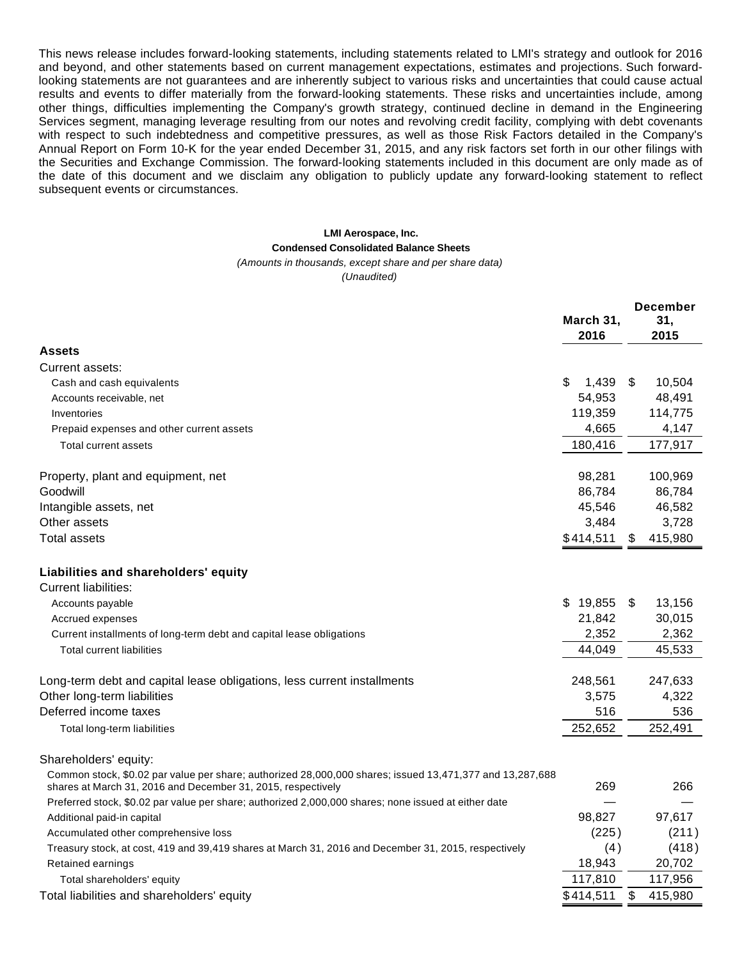This news release includes forward-looking statements, including statements related to LMI's strategy and outlook for 2016 and beyond, and other statements based on current management expectations, estimates and projections. Such forwardlooking statements are not guarantees and are inherently subject to various risks and uncertainties that could cause actual results and events to differ materially from the forward-looking statements. These risks and uncertainties include, among other things, difficulties implementing the Company's growth strategy, continued decline in demand in the Engineering Services segment, managing leverage resulting from our notes and revolving credit facility, complying with debt covenants with respect to such indebtedness and competitive pressures, as well as those Risk Factors detailed in the Company's Annual Report on Form 10-K for the year ended December 31, 2015, and any risk factors set forth in our other filings with the Securities and Exchange Commission. The forward-looking statements included in this document are only made as of the date of this document and we disclaim any obligation to publicly update any forward-looking statement to reflect subsequent events or circumstances.

## **LMI Aerospace, Inc. Condensed Consolidated Balance Sheets**

#### (Amounts in thousands, except share and per share data)

(Unaudited)

|                                                                                                                                                                          | March 31,<br>2016 |    | <b>December</b><br>31,<br>2015 |
|--------------------------------------------------------------------------------------------------------------------------------------------------------------------------|-------------------|----|--------------------------------|
| <b>Assets</b>                                                                                                                                                            |                   |    |                                |
| Current assets:                                                                                                                                                          |                   |    |                                |
| Cash and cash equivalents                                                                                                                                                | \$<br>1.439       | S  | 10,504                         |
| Accounts receivable, net                                                                                                                                                 | 54,953            |    | 48,491                         |
| Inventories                                                                                                                                                              | 119,359           |    | 114,775                        |
| Prepaid expenses and other current assets                                                                                                                                | 4,665             |    | 4,147                          |
| Total current assets                                                                                                                                                     | 180,416           |    | 177,917                        |
| Property, plant and equipment, net                                                                                                                                       | 98,281            |    | 100,969                        |
| Goodwill                                                                                                                                                                 | 86,784            |    | 86,784                         |
| Intangible assets, net                                                                                                                                                   | 45,546            |    | 46,582                         |
| Other assets                                                                                                                                                             | 3,484             |    | 3,728                          |
| <b>Total assets</b>                                                                                                                                                      | \$414,511         | S  | 415,980                        |
| Liabilities and shareholders' equity                                                                                                                                     |                   |    |                                |
| Current liabilities:                                                                                                                                                     |                   |    |                                |
| Accounts payable                                                                                                                                                         | \$19,855          | \$ | 13,156                         |
| Accrued expenses                                                                                                                                                         | 21,842            |    | 30,015                         |
| Current installments of long-term debt and capital lease obligations                                                                                                     | 2,352             |    | 2,362                          |
| <b>Total current liabilities</b>                                                                                                                                         | 44,049            |    | 45,533                         |
| Long-term debt and capital lease obligations, less current installments                                                                                                  | 248,561           |    | 247,633                        |
| Other long-term liabilities                                                                                                                                              | 3,575             |    | 4,322                          |
| Deferred income taxes                                                                                                                                                    | 516               |    | 536                            |
| Total long-term liabilities                                                                                                                                              | 252,652           |    | 252,491                        |
| Shareholders' equity:                                                                                                                                                    |                   |    |                                |
| Common stock, \$0.02 par value per share; authorized 28,000,000 shares; issued 13,471,377 and 13,287,688<br>shares at March 31, 2016 and December 31, 2015, respectively | 269               |    | 266                            |
| Preferred stock, \$0.02 par value per share; authorized 2,000,000 shares; none issued at either date                                                                     |                   |    |                                |
| Additional paid-in capital                                                                                                                                               | 98,827            |    | 97,617                         |
| Accumulated other comprehensive loss                                                                                                                                     | (225)             |    | (211)                          |
| Treasury stock, at cost, 419 and 39,419 shares at March 31, 2016 and December 31, 2015, respectively                                                                     | (4)               |    | (418)                          |
| Retained earnings                                                                                                                                                        | 18,943            |    | 20,702                         |
| Total shareholders' equity                                                                                                                                               | 117,810           |    | 117,956                        |
| Total liabilities and shareholders' equity                                                                                                                               | \$414,511         | \$ | 415,980                        |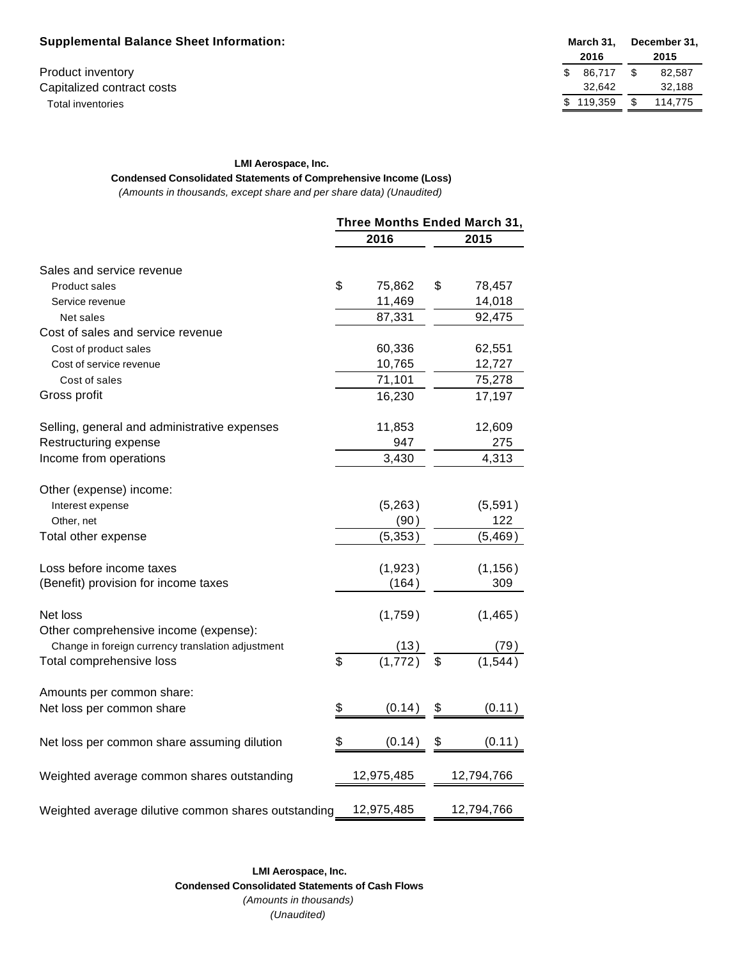## **Supplemental Balance Sheet Information:**

Product inventory Capitalized contract costs Total inventories

| March 31, |         | December 31, |         |  |
|-----------|---------|--------------|---------|--|
|           | 2016    | 2015         |         |  |
| \$        | 86.717  | \$           | 82.587  |  |
|           | 32,642  |              | 32,188  |  |
| \$        | 119.359 | \$.          | 114,775 |  |

#### **LMI Aerospace, Inc.**

**Condensed Consolidated Statements of Comprehensive Income (Loss)** (Amounts in thousands, except share and per share data) (Unaudited)

|                                                     |    | Three Months Ended March 31, |                         |            |
|-----------------------------------------------------|----|------------------------------|-------------------------|------------|
|                                                     |    | 2016                         |                         | 2015       |
| Sales and service revenue                           |    |                              |                         |            |
| <b>Product sales</b>                                | \$ | 75,862                       | \$                      | 78,457     |
| Service revenue                                     |    | 11,469                       |                         | 14,018     |
| Net sales                                           |    | 87,331                       |                         | 92,475     |
| Cost of sales and service revenue                   |    |                              |                         |            |
| Cost of product sales                               |    | 60,336                       |                         | 62,551     |
| Cost of service revenue                             |    | 10,765                       |                         | 12,727     |
| Cost of sales                                       |    | 71,101                       |                         | 75,278     |
| Gross profit                                        |    | 16,230                       |                         | 17,197     |
| Selling, general and administrative expenses        |    | 11,853                       |                         | 12,609     |
| Restructuring expense                               |    | 947                          |                         | 275        |
| Income from operations                              |    | 3,430                        |                         | 4,313      |
| Other (expense) income:                             |    |                              |                         |            |
| Interest expense                                    |    | (5,263)                      |                         | (5,591)    |
| Other, net                                          |    | (90)                         |                         | 122        |
| Total other expense                                 |    | (5, 353)                     |                         | (5, 469)   |
| Loss before income taxes                            |    | (1,923)                      |                         | (1, 156)   |
| (Benefit) provision for income taxes                |    | (164)                        |                         | 309        |
| Net loss<br>Other comprehensive income (expense):   |    | (1,759)                      |                         | (1, 465)   |
| Change in foreign currency translation adjustment   |    |                              |                         |            |
| Total comprehensive loss                            | \$ | $\frac{(13)}{(1,772)}$       | $\overline{\mathbf{s}}$ |            |
| Amounts per common share:                           |    |                              |                         |            |
| Net loss per common share                           | \$ | (0.14)                       | \$                      | (0.11)     |
| Net loss per common share assuming dilution         | S  | (0.14)                       | \$                      | (0.11)     |
| Weighted average common shares outstanding          |    | 12,975,485                   |                         | 12,794,766 |
| Weighted average dilutive common shares outstanding |    | 12,975,485                   |                         | 12,794,766 |

**LMI Aerospace, Inc. Condensed Consolidated Statements of Cash Flows** (Amounts in thousands) (Unaudited)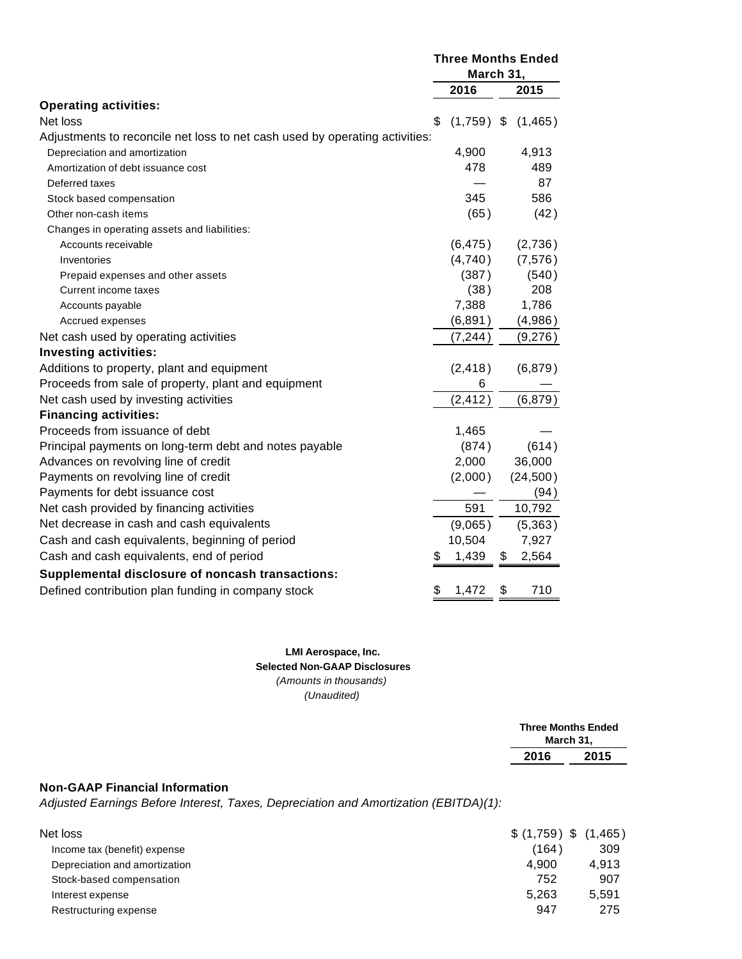|                                                                             | <b>Three Months Ended</b><br>March 31, |              |    |          |
|-----------------------------------------------------------------------------|----------------------------------------|--------------|----|----------|
|                                                                             |                                        | 2016         |    | 2015     |
| <b>Operating activities:</b>                                                |                                        |              |    |          |
| Net loss                                                                    | \$                                     | $(1,759)$ \$ |    | (1,465)  |
| Adjustments to reconcile net loss to net cash used by operating activities: |                                        |              |    |          |
| Depreciation and amortization                                               |                                        | 4,900        |    | 4,913    |
| Amortization of debt issuance cost                                          |                                        | 478          |    | 489      |
| Deferred taxes                                                              |                                        |              |    | 87       |
| Stock based compensation                                                    |                                        | 345          |    | 586      |
| Other non-cash items                                                        |                                        | (65)         |    | (42)     |
| Changes in operating assets and liabilities:                                |                                        |              |    |          |
| Accounts receivable                                                         |                                        | (6, 475)     |    | (2,736)  |
| Inventories                                                                 |                                        | (4,740)      |    | (7, 576) |
| Prepaid expenses and other assets                                           |                                        | (387)        |    | (540)    |
| Current income taxes                                                        |                                        | (38)         |    | 208      |
| Accounts payable                                                            |                                        | 7,388        |    | 1,786    |
| Accrued expenses                                                            |                                        | (6, 891)     |    | (4,986)  |
| Net cash used by operating activities                                       |                                        | (7, 244)     |    | (9,276)  |
| <b>Investing activities:</b>                                                |                                        |              |    |          |
| Additions to property, plant and equipment                                  |                                        | (2, 418)     |    | (6, 879) |
| Proceeds from sale of property, plant and equipment                         |                                        | 6            |    |          |
| Net cash used by investing activities                                       |                                        | (2, 412)     |    | (6, 879) |
| <b>Financing activities:</b>                                                |                                        |              |    |          |
| Proceeds from issuance of debt                                              |                                        | 1,465        |    |          |
| Principal payments on long-term debt and notes payable                      |                                        | (874)        |    | (614)    |
| Advances on revolving line of credit                                        |                                        | 2,000        |    | 36,000   |
| Payments on revolving line of credit                                        |                                        | (2,000)      |    | (24,500) |
| Payments for debt issuance cost                                             |                                        |              |    | (94)     |
| Net cash provided by financing activities                                   |                                        | 591          |    | 10,792   |
| Net decrease in cash and cash equivalents                                   |                                        | (9,065)      |    | (5,363)  |
| Cash and cash equivalents, beginning of period                              |                                        | 10,504       |    | 7,927    |
| Cash and cash equivalents, end of period                                    |                                        | 1,439        | \$ | 2,564    |
| Supplemental disclosure of noncash transactions:                            |                                        |              |    |          |
| Defined contribution plan funding in company stock                          |                                        | 1,472        | \$ | 710      |

#### **LMI Aerospace, Inc. Selected Non-GAAP Disclosures** (Amounts in thousands)

(Unaudited)

|      | <b>Three Months Ended</b><br>March 31, |
|------|----------------------------------------|
| 2016 | 2015                                   |
|      |                                        |

# **Non-GAAP Financial Information**

Adjusted Earnings Before Interest, Taxes, Depreciation and Amortization (EBITDA)(1):

| Net loss                      | \$(1,759) \$(1,465) |       |
|-------------------------------|---------------------|-------|
| Income tax (benefit) expense  | (164)               | 309   |
| Depreciation and amortization | 4.900               | 4.913 |
| Stock-based compensation      | 752                 | 907   |
| Interest expense              | 5.263               | 5.591 |
| Restructuring expense         | 947                 | 275   |
|                               |                     |       |